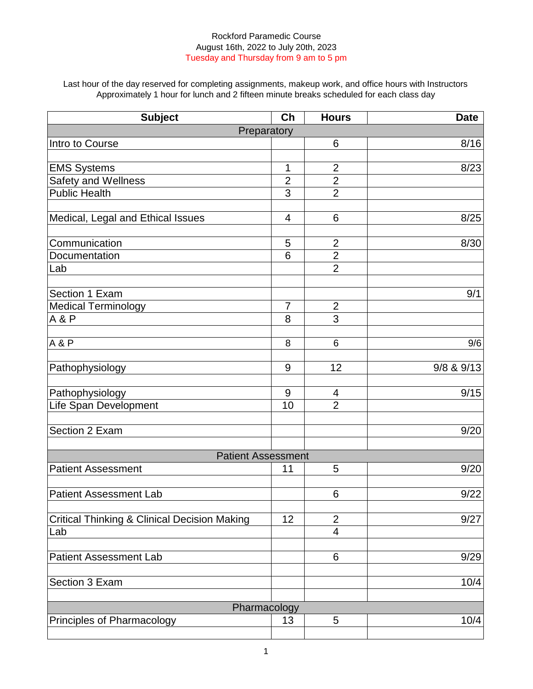Last hour of the day reserved for completing assignments, makeup work, and office hours with Instructors Approximately 1 hour for lunch and 2 fifteen minute breaks scheduled for each class day

| <b>Subject</b>                                          | Ch             | <b>Hours</b>             | <b>Date</b> |
|---------------------------------------------------------|----------------|--------------------------|-------------|
| Preparatory                                             |                |                          |             |
| Intro to Course                                         |                | 6                        | 8/16        |
|                                                         |                |                          |             |
| <b>EMS Systems</b>                                      | 1              | $\overline{2}$           | 8/23        |
| Safety and Wellness                                     | $\overline{2}$ | $\overline{2}$           |             |
| <b>Public Health</b>                                    | 3              | $\overline{2}$           |             |
|                                                         |                |                          |             |
| Medical, Legal and Ethical Issues                       | 4              | 6                        | 8/25        |
|                                                         |                |                          |             |
| Communication                                           | 5              | $\overline{2}$           | 8/30        |
| Documentation                                           | 6              | $\overline{2}$           |             |
| Lab                                                     |                | $\overline{2}$           |             |
|                                                         |                |                          |             |
| Section 1 Exam                                          | $\overline{7}$ | $\overline{2}$           | 9/1         |
| <b>Medical Terminology</b><br>A & P                     | 8              | $\overline{3}$           |             |
|                                                         |                |                          |             |
| <b>A&amp;P</b>                                          | 8              | 6                        | 9/6         |
|                                                         |                |                          |             |
| Pathophysiology                                         | 9              | 12                       | 9/8 & 9/13  |
|                                                         |                |                          |             |
| Pathophysiology                                         | 9              | 4                        | 9/15        |
| Life Span Development                                   | 10             | $\overline{2}$           |             |
|                                                         |                |                          |             |
| Section 2 Exam                                          |                |                          | 9/20        |
|                                                         |                |                          |             |
| <b>Patient Assessment</b><br><b>Patient Assessment</b>  | 11             | 5                        | 9/20        |
|                                                         |                |                          |             |
| <b>Patient Assessment Lab</b>                           |                | 6                        | 9/22        |
|                                                         |                |                          |             |
| <b>Critical Thinking &amp; Clinical Decision Making</b> | 12             | $\overline{2}$           | 9/27        |
| Lab                                                     |                | $\overline{\mathcal{A}}$ |             |
|                                                         |                |                          |             |
| <b>Patient Assessment Lab</b>                           |                | 6                        | 9/29        |
|                                                         |                |                          |             |
| Section 3 Exam                                          |                |                          | 10/4        |
|                                                         |                |                          |             |
| Pharmacology                                            |                |                          |             |
| Principles of Pharmacology                              | 13             | 5                        | 10/4        |
|                                                         |                |                          |             |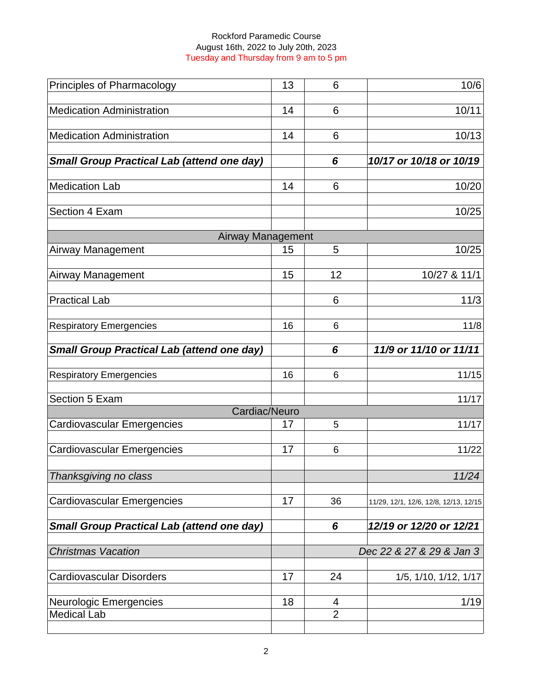| Principles of Pharmacology                        | 13 | 6              | 10/6                                  |
|---------------------------------------------------|----|----------------|---------------------------------------|
| <b>Medication Administration</b>                  | 14 | 6              | 10/11                                 |
| <b>Medication Administration</b>                  | 14 | 6              | 10/13                                 |
| <b>Small Group Practical Lab (attend one day)</b> |    | 6              | 10/17 or 10/18 or 10/19               |
| <b>Medication Lab</b>                             | 14 | 6              | 10/20                                 |
| Section 4 Exam                                    |    |                | 10/25                                 |
| <b>Airway Management</b>                          |    |                |                                       |
| <b>Airway Management</b>                          | 15 | 5              | 10/25                                 |
| Airway Management                                 | 15 | 12             | 10/27 & 11/1                          |
| <b>Practical Lab</b>                              |    | 6              | 11/3                                  |
| <b>Respiratory Emergencies</b>                    | 16 | 6              | 11/8                                  |
| <b>Small Group Practical Lab (attend one day)</b> |    | 6              | 11/9 or 11/10 or 11/11                |
| <b>Respiratory Emergencies</b>                    | 16 | 6              | 11/15                                 |
| Section 5 Exam                                    |    |                | 11/17                                 |
| Cardiac/Neuro                                     |    |                |                                       |
| <b>Cardiovascular Emergencies</b>                 | 17 | 5              | 11/17                                 |
| <b>Cardiovascular Emergencies</b>                 | 17 | 6              | 11/22                                 |
| Thanksgiving no class                             |    |                | 11/24                                 |
| <b>Cardiovascular Emergencies</b>                 | 17 | 36             | 11/29, 12/1, 12/6, 12/8, 12/13, 12/15 |
| <b>Small Group Practical Lab (attend one day)</b> |    | 6              | 12/19 or 12/20 or 12/21               |
| <b>Christmas Vacation</b>                         |    |                | Dec 22 & 27 & 29 & Jan 3              |
| <b>Cardiovascular Disorders</b>                   | 17 | 24             | 1/5, 1/10, 1/12, 1/17                 |
| Neurologic Emergencies                            | 18 | 4              | 1/19                                  |
| <b>Medical Lab</b>                                |    | $\overline{2}$ |                                       |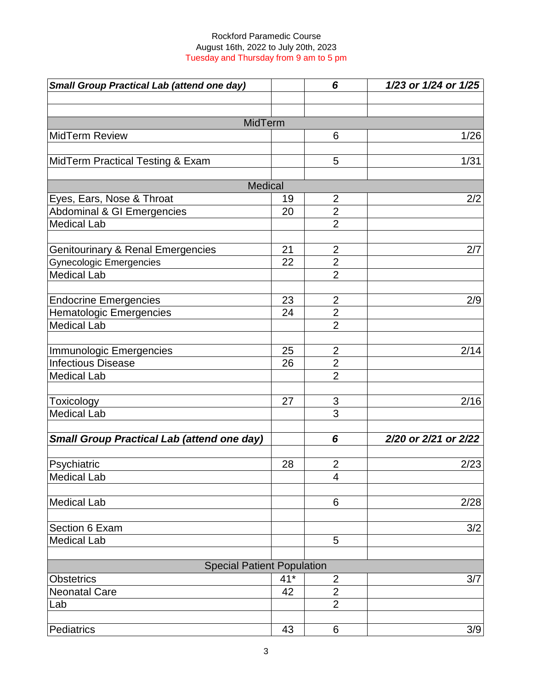| <b>Small Group Practical Lab (attend one day)</b> |                | 6              | 1/23 or 1/24 or 1/25 |
|---------------------------------------------------|----------------|----------------|----------------------|
|                                                   |                |                |                      |
|                                                   |                |                |                      |
| MidTerm                                           |                |                |                      |
| <b>MidTerm Review</b>                             |                | 6              | 1/26                 |
| MidTerm Practical Testing & Exam                  |                | 5              | 1/31                 |
|                                                   |                |                |                      |
|                                                   | <b>Medical</b> |                |                      |
| Eyes, Ears, Nose & Throat                         | 19             | $\overline{2}$ | 2/2                  |
| Abdominal & GI Emergencies                        | 20             | $\overline{2}$ |                      |
| <b>Medical Lab</b>                                |                | $\overline{2}$ |                      |
|                                                   |                |                |                      |
| <b>Genitourinary &amp; Renal Emergencies</b>      | 21             | $\overline{2}$ | 2/7                  |
| <b>Gynecologic Emergencies</b>                    | 22             | $\overline{2}$ |                      |
| <b>Medical Lab</b>                                |                | $\overline{2}$ |                      |
|                                                   | 23             | $\overline{2}$ | 2/9                  |
| <b>Endocrine Emergencies</b>                      | 24             | $\overline{2}$ |                      |
| <b>Hematologic Emergencies</b>                    |                | $\overline{2}$ |                      |
| <b>Medical Lab</b>                                |                |                |                      |
| Immunologic Emergencies                           | 25             | $\overline{2}$ | 2/14                 |
| <b>Infectious Disease</b>                         | 26             | $\overline{2}$ |                      |
| <b>Medical Lab</b>                                |                | $\overline{2}$ |                      |
| Toxicology                                        | 27             | 3              | 2/16                 |
| <b>Medical Lab</b>                                |                | $\overline{3}$ |                      |
|                                                   |                |                |                      |
| <b>Small Group Practical Lab (attend one day)</b> |                | 6              | 2/20 or 2/21 or 2/22 |
| Psychiatric                                       | 28             | $\overline{2}$ | 2/23                 |
|                                                   |                |                |                      |
| <b>Medical Lab</b>                                |                | 4              |                      |
| <b>Medical Lab</b>                                |                | 6              | 2/28                 |
|                                                   |                |                |                      |
| Section 6 Exam                                    |                |                | 3/2                  |
| <b>Medical Lab</b>                                |                | 5              |                      |
| <b>Special Patient Population</b>                 |                |                |                      |
| <b>Obstetrics</b>                                 | $41*$          | $\mathbf{2}$   | 3/7                  |
| <b>Neonatal Care</b>                              | 42             | $\overline{2}$ |                      |
| Lab                                               |                | $\overline{2}$ |                      |
|                                                   |                |                |                      |
| Pediatrics                                        | 43             | 6              | 3/9                  |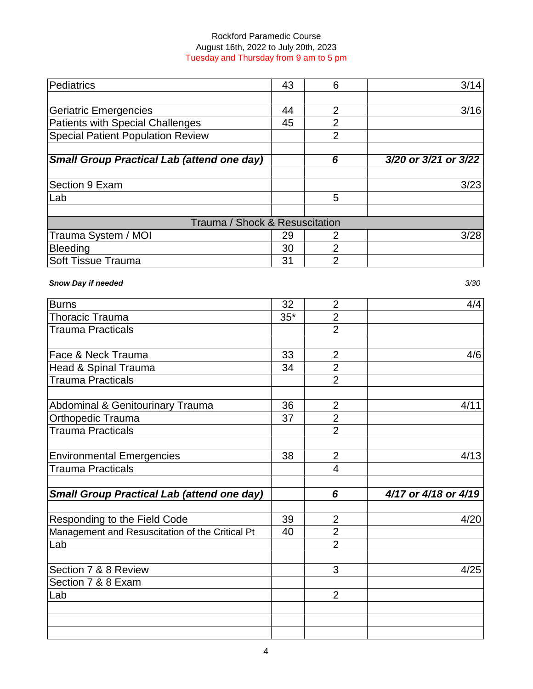| Pediatrics                                        | 43 | 6              | 3/14                 |
|---------------------------------------------------|----|----------------|----------------------|
|                                                   |    |                |                      |
| Geriatric Emergencies                             | 44 | 2              | 3/16                 |
| Patients with Special Challenges                  | 45 | 2              |                      |
| <b>Special Patient Population Review</b>          |    | $\overline{2}$ |                      |
| <b>Small Group Practical Lab (attend one day)</b> |    | 6              | 3/20 or 3/21 or 3/22 |
|                                                   |    |                |                      |
| Section 9 Exam                                    |    |                | 3/23                 |
| ∣Lab                                              |    | 5              |                      |
|                                                   |    |                |                      |
| Trauma / Shock & Resuscitation                    |    |                |                      |
| Trauma System / MOI                               | 29 | 2              | 3/28                 |
| Bleeding                                          | 30 | 2              |                      |
| <b>Soft Tissue Trauma</b>                         | 31 | 2              |                      |

# *Snow Day if needed 3/30*

| <b>Burns</b>                                      | 32    | $\overline{2}$ | 4/4                  |
|---------------------------------------------------|-------|----------------|----------------------|
| <b>Thoracic Trauma</b>                            | $35*$ | $\overline{2}$ |                      |
| <b>Trauma Practicals</b>                          |       | $\overline{2}$ |                      |
|                                                   |       |                |                      |
| Face & Neck Trauma                                | 33    | $\overline{2}$ | 4/6                  |
| Head & Spinal Trauma                              | 34    | $\overline{2}$ |                      |
| <b>Trauma Practicals</b>                          |       | $\overline{2}$ |                      |
| Abdominal & Genitourinary Trauma                  | 36    | $\overline{2}$ | 4/11                 |
| <b>Orthopedic Trauma</b>                          | 37    | $\overline{2}$ |                      |
| <b>Trauma Practicals</b>                          |       | $\overline{2}$ |                      |
| <b>Environmental Emergencies</b>                  | 38    | $\overline{2}$ | 4/13                 |
| <b>Trauma Practicals</b>                          |       | $\overline{4}$ |                      |
| <b>Small Group Practical Lab (attend one day)</b> |       | 6              | 4/17 or 4/18 or 4/19 |
| Responding to the Field Code                      | 39    | $\overline{2}$ | 4/20                 |
| Management and Resuscitation of the Critical Pt   | 40    | $\overline{2}$ |                      |
| Lab                                               |       | $\overline{2}$ |                      |
| Section 7 & 8 Review                              |       | 3              | 4/25                 |
| Section 7 & 8 Exam                                |       |                |                      |
| Lab                                               |       | $\overline{2}$ |                      |
|                                                   |       |                |                      |
|                                                   |       |                |                      |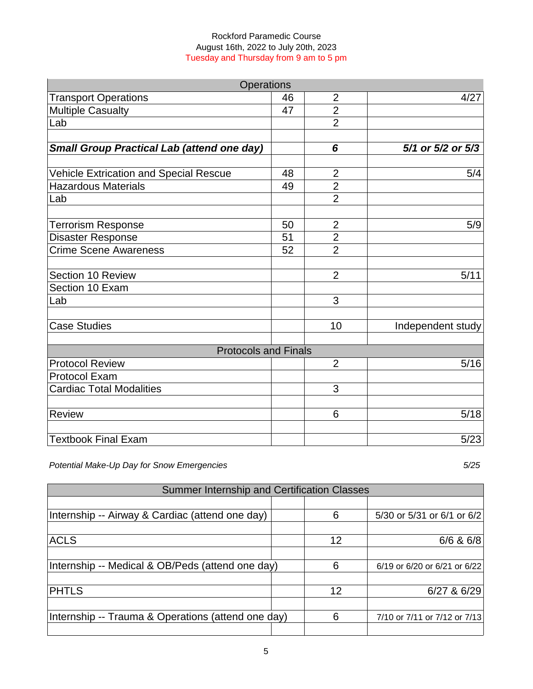| <b>Operations</b>                                 |    |                |                   |
|---------------------------------------------------|----|----------------|-------------------|
| <b>Transport Operations</b>                       | 46 | $\overline{2}$ | 4/27              |
| <b>Multiple Casualty</b>                          | 47 | $\overline{2}$ |                   |
| Lab                                               |    | $\overline{2}$ |                   |
| <b>Small Group Practical Lab (attend one day)</b> |    | 6              | 5/1 or 5/2 or 5/3 |
|                                                   |    |                |                   |
| <b>Vehicle Extrication and Special Rescue</b>     | 48 | $\overline{2}$ | 5/4               |
| <b>Hazardous Materials</b>                        | 49 | $\overline{2}$ |                   |
| Lab                                               |    | $\overline{2}$ |                   |
| <b>Terrorism Response</b>                         | 50 | $\overline{2}$ | 5/9               |
| <b>Disaster Response</b>                          | 51 | $\overline{2}$ |                   |
| <b>Crime Scene Awareness</b>                      | 52 | $\overline{2}$ |                   |
| Section 10 Review                                 |    | $\overline{2}$ | 5/11              |
| Section 10 Exam                                   |    |                |                   |
| Lab                                               |    | 3              |                   |
| <b>Case Studies</b>                               |    | 10             | Independent study |
| <b>Protocols and Finals</b>                       |    |                |                   |
| <b>Protocol Review</b>                            |    | $\overline{2}$ | 5/16              |
| <b>Protocol Exam</b>                              |    |                |                   |
| <b>Cardiac Total Modalities</b>                   |    | 3              |                   |
| <b>Review</b>                                     |    | 6              | 5/18              |
| <b>Textbook Final Exam</b>                        |    |                | 5/23              |

*Potential Make-Up Day for Snow Emergencies 5/25*

| Summer Internship and Certification Classes        |  |    |                              |
|----------------------------------------------------|--|----|------------------------------|
|                                                    |  |    |                              |
| Internship -- Airway & Cardiac (attend one day)    |  | 6  | 5/30 or 5/31 or 6/1 or 6/2   |
|                                                    |  |    |                              |
| <b>ACLS</b>                                        |  | 12 | $6/6$ & $6/8$                |
|                                                    |  |    |                              |
| Internship -- Medical & OB/Peds (attend one day)   |  | 6  | 6/19 or 6/20 or 6/21 or 6/22 |
|                                                    |  |    |                              |
| <b>PHTLS</b>                                       |  | 12 | 6/27 & 6/29                  |
|                                                    |  |    |                              |
| Internship -- Trauma & Operations (attend one day) |  |    | 7/10 or 7/11 or 7/12 or 7/13 |
|                                                    |  |    |                              |